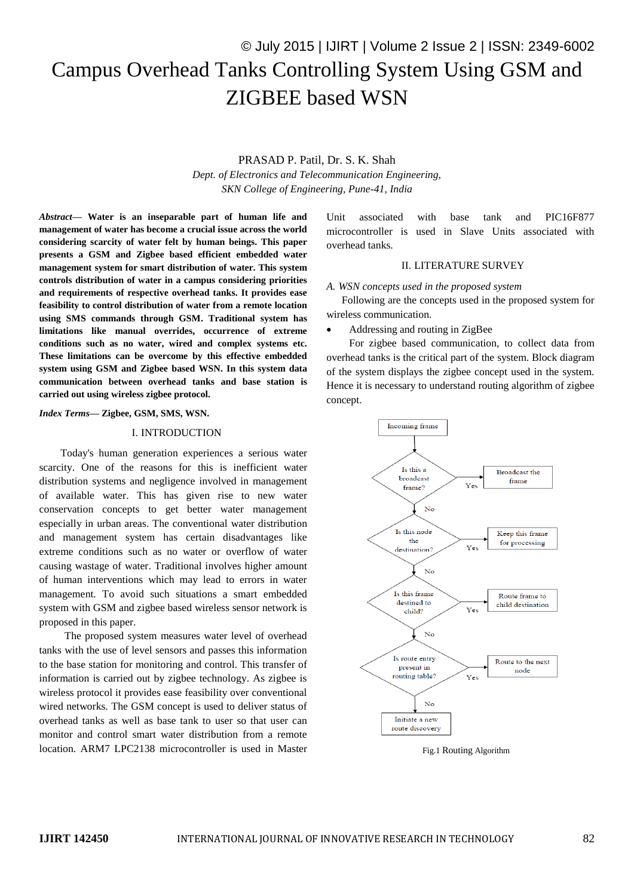# © July 2015 | IJIRT | Volume 2 Issue 2 | ISSN: 2349-6002 Campus Overhead Tanks Controlling System Using GSM and ZIGBEE based WSN

# PRASAD P. Patil, Dr. S. K. Shah

*Dept. of Electronics and Telecommunication Engineering, SKN College of Engineering, Pune-41, India*

*Abstract***— Water is an inseparable part of human life and management of water has become a crucial issue across the world considering scarcity of water felt by human beings. This paper presents a GSM and Zigbee based efficient embedded water management system for smart distribution of water. This system controls distribution of water in a campus considering priorities and requirements of respective overhead tanks. It provides ease feasibility to control distribution of water from a remote location using SMS commands through GSM. Traditional system has limitations like manual overrides, occurrence of extreme conditions such as no water, wired and complex systems etc. These limitations can be overcome by this effective embedded system using GSM and Zigbee based WSN. In this system data communication between overhead tanks and base station is carried out using wireless zigbee protocol.**

### *Index Terms***— Zigbee, GSM, SMS, WSN.**

#### I. INTRODUCTION

 Today's human generation experiences a serious water scarcity. One of the reasons for this is inefficient water distribution systems and negligence involved in management of available water. This has given rise to new water conservation concepts to get better water management especially in urban areas. The conventional water distribution and management system has certain disadvantages like extreme conditions such as no water or overflow of water causing wastage of water. Traditional involves higher amount of human interventions which may lead to errors in water management. To avoid such situations a smart embedded system with GSM and zigbee based wireless sensor network is proposed in this paper.

The proposed system measures water level of overhead tanks with the use of level sensors and passes this information to the base station for monitoring and control. This transfer of information is carried out by zigbee technology. As zigbee is wireless protocol it provides ease feasibility over conventional wired networks. The GSM concept is used to deliver status of overhead tanks as well as base tank to user so that user can monitor and control smart water distribution from a remote location. ARM7 LPC2138 microcontroller is used in Master

Unit associated with base tank and PIC16F877 microcontroller is used in Slave Units associated with overhead tanks.

# II. LITERATURE SURVEY

#### *A. WSN concepts used in the proposed system*

Following are the concepts used in the proposed system for wireless communication.

Addressing and routing in ZigBee

For zigbee based communication, to collect data from overhead tanks is the critical part of the system. Block diagram of the system displays the zigbee concept used in the system. Hence it is necessary to understand routing algorithm of zigbee concept.



Fig.1 Routing Algorithm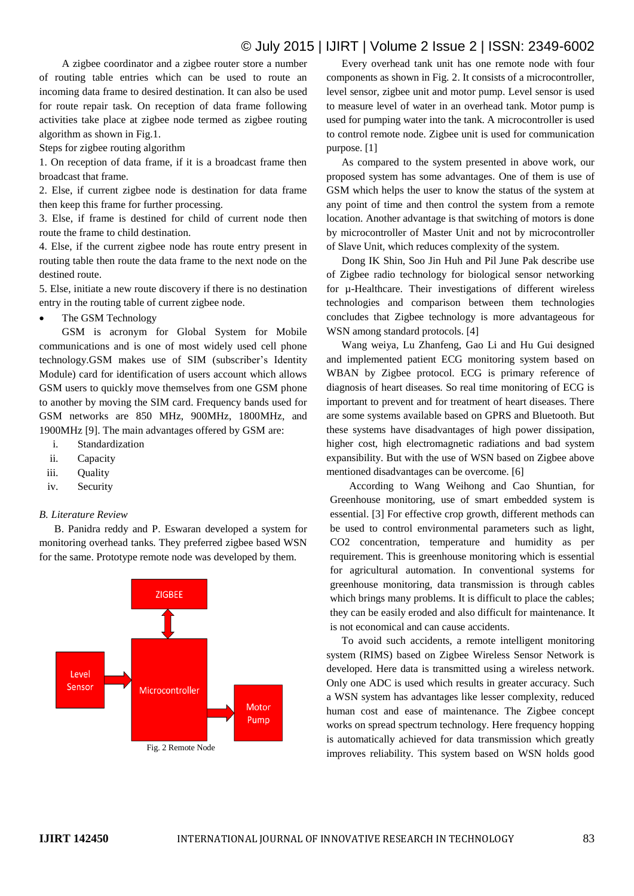# © July 2015 | IJIRT | Volume 2 Issue 2 | ISSN: 2349-6002

A zigbee coordinator and a zigbee router store a number of routing table entries which can be used to route an incoming data frame to desired destination. It can also be used for route repair task. On reception of data frame following activities take place at zigbee node termed as zigbee routing algorithm as shown in Fig.1.

Steps for zigbee routing algorithm

1. On reception of data frame, if it is a broadcast frame then broadcast that frame.

2. Else, if current zigbee node is destination for data frame then keep this frame for further processing.

3. Else, if frame is destined for child of current node then route the frame to child destination.

4. Else, if the current zigbee node has route entry present in routing table then route the data frame to the next node on the destined route.

5. Else, initiate a new route discovery if there is no destination entry in the routing table of current zigbee node.

• The GSM Technology

GSM is acronym for Global System for Mobile communications and is one of most widely used cell phone technology.GSM makes use of SIM (subscriber's Identity Module) card for identification of users account which allows GSM users to quickly move themselves from one GSM phone to another by moving the SIM card. Frequency bands used for GSM networks are 850 MHz, 900MHz, 1800MHz, and 1900MHz [9]. The main advantages offered by GSM are:

- i. Standardization
- ii. Capacity
- iii. Ouality
- iv. Security

#### *B. Literature Review*

B. Panidra reddy and P. Eswaran developed a system for monitoring overhead tanks. They preferred zigbee based WSN for the same. Prototype remote node was developed by them.



Every overhead tank unit has one remote node with four components as shown in Fig. 2. It consists of a microcontroller, level sensor, zigbee unit and motor pump. Level sensor is used to measure level of water in an overhead tank. Motor pump is used for pumping water into the tank. A microcontroller is used to control remote node. Zigbee unit is used for communication purpose. [1]

As compared to the system presented in above work, our proposed system has some advantages. One of them is use of GSM which helps the user to know the status of the system at any point of time and then control the system from a remote location. Another advantage is that switching of motors is done by microcontroller of Master Unit and not by microcontroller of Slave Unit, which reduces complexity of the system.

Dong IK Shin, Soo Jin Huh and Pil June Pak describe use of Zigbee radio technology for biological sensor networking for µ-Healthcare. Their investigations of different wireless technologies and comparison between them technologies concludes that Zigbee technology is more advantageous for WSN among standard protocols. [4]

Wang weiya, Lu Zhanfeng, Gao Li and Hu Gui designed and implemented patient ECG monitoring system based on WBAN by Zigbee protocol. ECG is primary reference of diagnosis of heart diseases. So real time monitoring of ECG is important to prevent and for treatment of heart diseases. There are some systems available based on GPRS and Bluetooth. But these systems have disadvantages of high power dissipation, higher cost, high electromagnetic radiations and bad system expansibility. But with the use of WSN based on Zigbee above mentioned disadvantages can be overcome. [6]

According to Wang Weihong and Cao Shuntian, for Greenhouse monitoring, use of smart embedded system is essential. [3] For effective crop growth, different methods can be used to control environmental parameters such as light, CO2 concentration, temperature and humidity as per requirement. This is greenhouse monitoring which is essential for agricultural automation. In conventional systems for greenhouse monitoring, data transmission is through cables which brings many problems. It is difficult to place the cables; they can be easily eroded and also difficult for maintenance. It is not economical and can cause accidents.

To avoid such accidents, a remote intelligent monitoring system (RIMS) based on Zigbee Wireless Sensor Network is developed. Here data is transmitted using a wireless network. Only one ADC is used which results in greater accuracy. Such a WSN system has advantages like lesser complexity, reduced human cost and ease of maintenance. The Zigbee concept works on spread spectrum technology. Here frequency hopping is automatically achieved for data transmission which greatly improves reliability. This system based on WSN holds good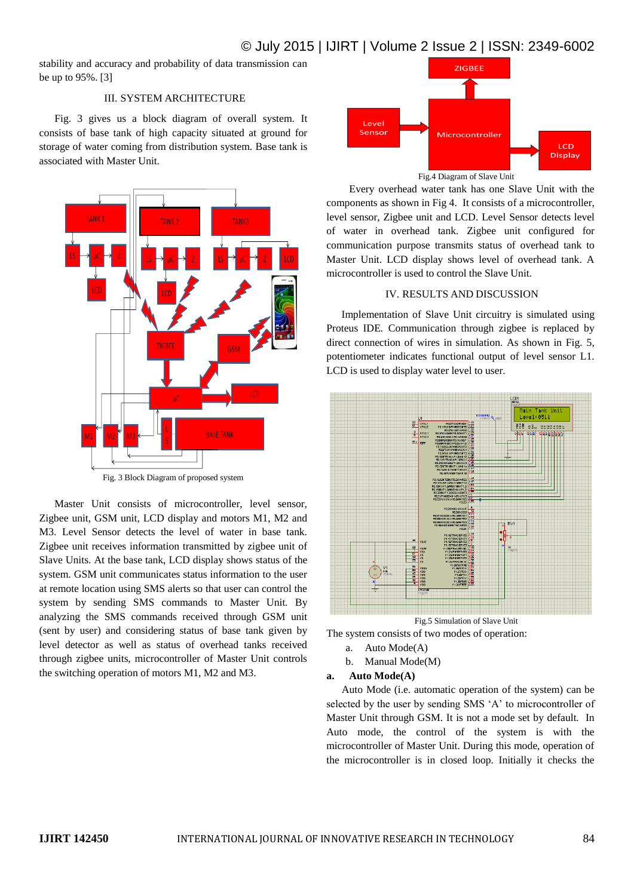# © July 2015 | IJIRT | Volume 2 Issue 2 | ISSN: 2349-6002

stability and accuracy and probability of data transmission can be up to 95%. [3]

# III. SYSTEM ARCHITECTURE

Fig. 3 gives us a block diagram of overall system. It consists of base tank of high capacity situated at ground for storage of water coming from distribution system. Base tank is associated with Master Unit.



Fig. 3 Block Diagram of proposed system

Master Unit consists of microcontroller, level sensor, Zigbee unit, GSM unit, LCD display and motors M1, M2 and M3. Level Sensor detects the level of water in base tank. Zigbee unit receives information transmitted by zigbee unit of Slave Units. At the base tank, LCD display shows status of the system. GSM unit communicates status information to the user at remote location using SMS alerts so that user can control the system by sending SMS commands to Master Unit. By analyzing the SMS commands received through GSM unit (sent by user) and considering status of base tank given by level detector as well as status of overhead tanks received through zigbee units, microcontroller of Master Unit controls the switching operation of motors M1, M2 and M3.



Fig.4 Diagram of Slave Unit

Every overhead water tank has one Slave Unit with the components as shown in Fig 4. It consists of a microcontroller, level sensor, Zigbee unit and LCD. Level Sensor detects level of water in overhead tank. Zigbee unit configured for communication purpose transmits status of overhead tank to Master Unit. LCD display shows level of overhead tank. A microcontroller is used to control the Slave Unit.

# IV. RESULTS AND DISCUSSION

Implementation of Slave Unit circuitry is simulated using Proteus IDE. Communication through zigbee is replaced by direct connection of wires in simulation. As shown in Fig. 5, potentiometer indicates functional output of level sensor L1. LCD is used to display water level to user.



Fig.5 Simulation of Slave Unit

- The system consists of two modes of operation:
	- a. Auto Mode(A)
	- b. Manual Mode(M)

# **a. Auto Mode(A)**

Auto Mode (i.e. automatic operation of the system) can be selected by the user by sending SMS 'A' to microcontroller of Master Unit through GSM. It is not a mode set by default. In Auto mode, the control of the system is with the microcontroller of Master Unit. During this mode, operation of the microcontroller is in closed loop. Initially it checks the